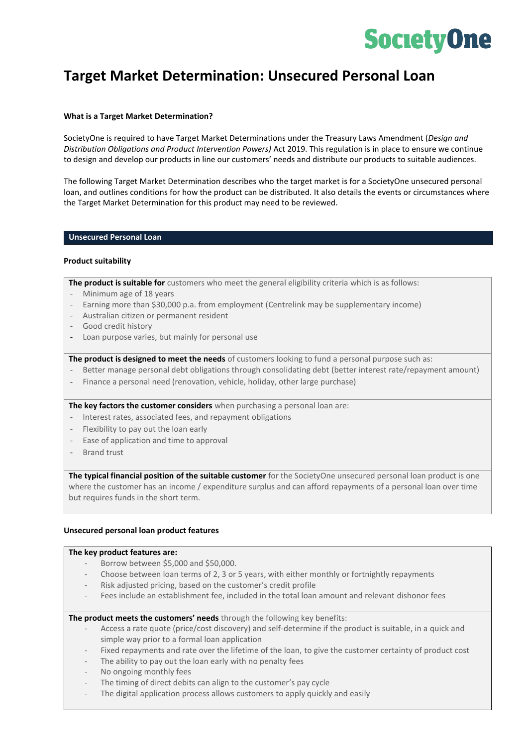# **SocietyOne**

## **Target Market Determination: Unsecured Personal Loan**

#### **What is a Target Market Determination?**

SocietyOne is required to have Target Market Determinations under the Treasury Laws Amendment (*Design and Distribution Obligations and Product Intervention Powers)* Act 2019. This regulation is in place to ensure we continue to design and develop our products in line our customers' needs and distribute our products to suitable audiences.

The following Target Market Determination describes who the target market is for a SocietyOne unsecured personal loan, and outlines conditions for how the product can be distributed. It also details the events or circumstances where the Target Market Determination for this product may need to be reviewed.

#### **Unsecured Personal Loan**

#### **Product suitability**

**The product is suitable for** customers who meet the general eligibility criteria which is as follows:

- Minimum age of 18 years
- Earning more than \$30,000 p.a. from employment (Centrelink may be supplementary income)
- Australian citizen or permanent resident
- Good credit history
- Loan purpose varies, but mainly for personal use

**The product is designed to meet the needs** of customers looking to fund a personal purpose such as:

- Better manage personal debt obligations through consolidating debt (better interest rate/repayment amount)
- Finance a personal need (renovation, vehicle, holiday, other large purchase)

**The key factors the customer considers** when purchasing a personal loan are:

- Interest rates, associated fees, and repayment obligations
- Flexibility to pay out the loan early
- Ease of application and time to approval
- Brand trust

**The typical financial position of the suitable customer** for the SocietyOne unsecured personal loan product is one where the customer has an income / expenditure surplus and can afford repayments of a personal loan over time but requires funds in the short term.

#### **Unsecured personal loan product features**

#### **The key product features are:**

- Borrow between \$5,000 and \$50,000.
- Choose between loan terms of 2, 3 or 5 years, with either monthly or fortnightly repayments
- Risk adjusted pricing, based on the customer's credit profile
- Fees include an establishment fee, included in the total loan amount and relevant dishonor fees

**The product meets the customers' needs** through the following key benefits:

- Access a rate quote (price/cost discovery) and self-determine if the product is suitable, in a quick and simple way prior to a formal loan application
- Fixed repayments and rate over the lifetime of the loan, to give the customer certainty of product cost
- The ability to pay out the loan early with no penalty fees
- No ongoing monthly fees
- The timing of direct debits can align to the customer's pay cycle
- The digital application process allows customers to apply quickly and easily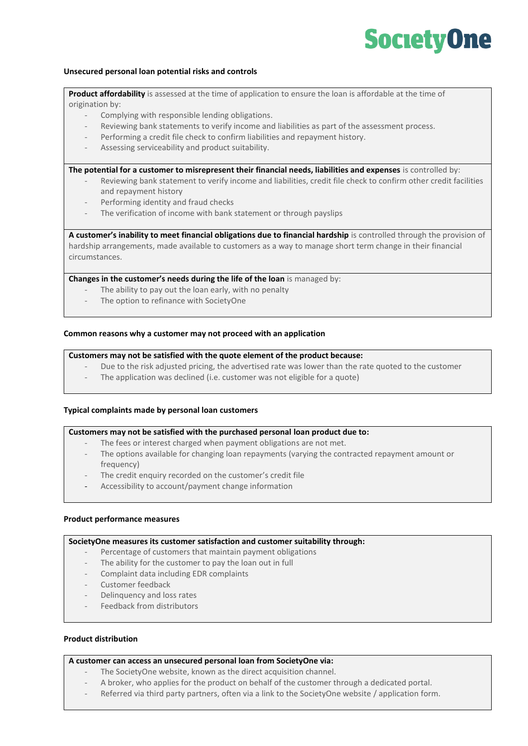# **SocietyOne**

#### **Unsecured personal loan potential risks and controls**

**Product affordability** is assessed at the time of application to ensure the loan is affordable at the time of origination by:

- Complying with responsible lending obligations.
- Reviewing bank statements to verify income and liabilities as part of the assessment process.
- Performing a credit file check to confirm liabilities and repayment history.
- Assessing serviceability and product suitability.

**The potential for a customer to misrepresent their financial needs, liabilities and expenses** is controlled by:

- Reviewing bank statement to verify income and liabilities, credit file check to confirm other credit facilities and repayment history
- Performing identity and fraud checks
- The verification of income with bank statement or through payslips

**A customer's inability to meet financial obligations due to financial hardship** is controlled through the provision of hardship arrangements, made available to customers as a way to manage short term change in their financial circumstances.

**Changes in the customer's needs during the life of the loan** is managed by:

- The ability to pay out the loan early, with no penalty
- The option to refinance with SocietyOne

### **Common reasons why a customer may not proceed with an application**

### **Customers may not be satisfied with the quote element of the product because:**

- Due to the risk adjusted pricing, the advertised rate was lower than the rate quoted to the customer
- The application was declined (i.e. customer was not eligible for a quote)

#### **Typical complaints made by personal loan customers**

#### **Customers may not be satisfied with the purchased personal loan product due to:**

- The fees or interest charged when payment obligations are not met.
- The options available for changing loan repayments (varying the contracted repayment amount or frequency)
- The credit enquiry recorded on the customer's credit file
- Accessibility to account/payment change information

#### **Product performance measures**

#### **SocietyOne measures its customer satisfaction and customer suitability through:**

- Percentage of customers that maintain payment obligations
- The ability for the customer to pay the loan out in full
- Complaint data including EDR complaints
- Customer feedback
- Delinquency and loss rates
- Feedback from distributors

#### **Product distribution**

#### **A customer can access an unsecured personal loan from SocietyOne via:**

- The SocietyOne website, known as the direct acquisition channel.
- A broker, who applies for the product on behalf of the customer through a dedicated portal.
- Referred via third party partners, often via a link to the SocietyOne website / application form.